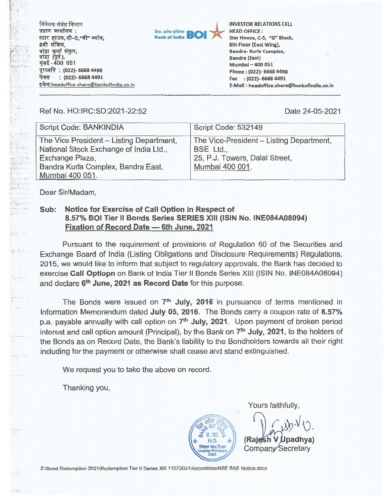**निवेशक संबंध विभाग** प्रधान कार्यालय : स्टार हाउस, सी-5, जी" ब्लॉक, 8वी मंजिल,<br>बांद्रा कुर्ला संकुल, बाद्रा कुला सकुल,<br>बांद्रा (पूर्व ),<br>मुंबई - 400 051 दूरध्वनि: (022)- 6668 4490 **(022)- 6668 4491**  इमेल:headoffice.share@bankofindia.co.in



**INVESTOR RELATIONS CELL HEAD OFFICE : Star House, C-5, "G" Block, 8th Floor (East Wing), Bandra- Kurla Complex, Bandra (East) Mumbai 400 051 Phone : (022)- 6668 4490 Fax : (022)- 6668 4491 E-Mail : headoffice.share@bankofindia.co.in** 

Ref No. HO:IRC:SD:2021-22:52 Date 24-05-2021

| Script Code: BANKINDIA                                                                                                                                         | Script Code: 532149                                                                                        |
|----------------------------------------------------------------------------------------------------------------------------------------------------------------|------------------------------------------------------------------------------------------------------------|
| The Vice President - Listing Department,<br>National Stock Exchange of India Ltd.,<br>Exchange Plaza,<br>Bandra Kurla Complex, Bandra East,<br>Mumbai 400 051. | The Vice-President – Listing Department,<br>BSE Ltd.,<br>25, P.J. Towers, Dalal Street,<br>Mumbai 400 001. |

Dear Sir/Madam,

f facility  $\begin{bmatrix} \mathbf{1}_{\{1, \ldots, n\}} & \mathbf{1}_{\{1, \ldots, n\}} \\ \mathbf{1}_{\{1, \ldots, n\}} & \mathbf{1}_{\{1, \ldots, n\}} \end{bmatrix}$ 

## **Sub: Notice for Exercise of Call Option in Respect of 8.57% BOI Tier II Bonds Series SERIES XIII (ISIN No. INE084A08094) Fixation of Record Date — 6th June, 2021**

Pursuant to the requirement of provisions of Regulation 60 of the Securities and Exchange Board of India (Listing Obligations and Disclosure Requirements) Regulations, 2015, we would like to inform that subject to regulatory approvals, the Bank has decided to exercise **Call Optiopn** on Bank of India Tier II Bonds Series XIII (ISIN No. 1NE084A08094) and declare 6<sup>th</sup> June, 2021 as Record Date for this purpose.

The Bonds were issued on **7thJuly, 2016** in pursuance of terms mentioned in Information Memorandum dated **July 05, 2016.** The Bonds carry a coupon rate of **8.57%**  p.a. payable annually with call option on **7thJuly, 2021.** Upon payment of broken period interest and call option amount (Principal), by the Bank on **7th July, 2021,** to the holders of the Bonds as on Record Date, the Bank's liability to the Bondholders towards all their right including for the payment or otherwise shall cease and stand extinguished.

We request you to take the above on record.

Thanking you,

**F co**   $\Pi$  col. H.O. **-**<br>**निवेशक संबंध विभाग** Investor Relations Dept.

Yours faithfully,

**(Raj V padhya)**  Company Secretary

Z:\Bond Redemption 2021\Redemption Tier II Series XIII 11072021\RecorddateNSE BSE Notice.docx